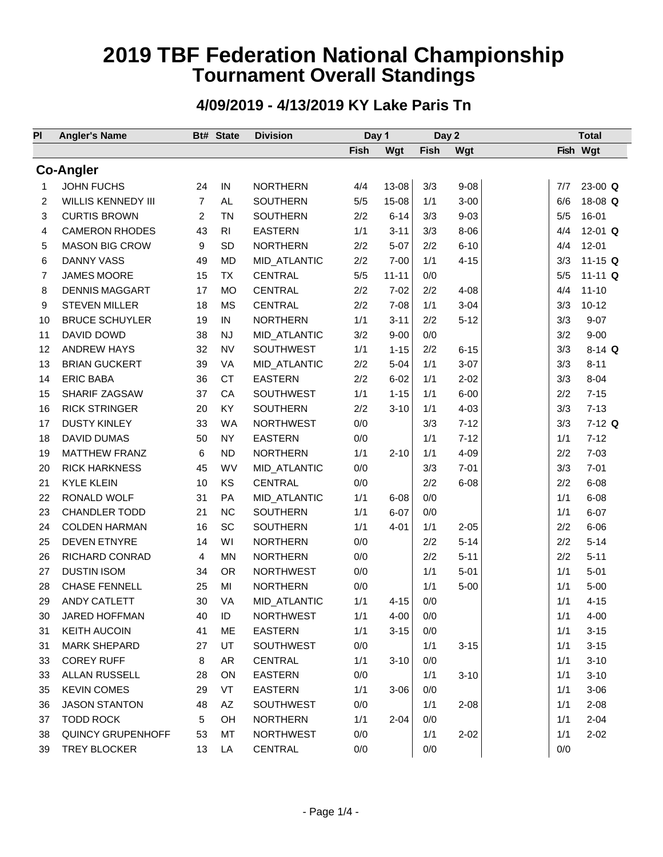### **4/09/2019 - 4/13/2019 KY Lake Paris Tn**

| <b>Angler's Name</b>             |                | <b>Bt# State</b>          | <b>Division</b>      | Day 1                                                                                    |                                                        | Day 2                |                          | <b>Total</b>         |                                 |
|----------------------------------|----------------|---------------------------|----------------------|------------------------------------------------------------------------------------------|--------------------------------------------------------|----------------------|--------------------------|----------------------|---------------------------------|
|                                  |                |                           |                      | Fish                                                                                     | Wgt                                                    | <b>Fish</b>          | Wgt                      |                      | Fish Wgt                        |
| <b>Co-Angler</b>                 |                |                           |                      |                                                                                          |                                                        |                      |                          |                      |                                 |
| <b>JOHN FUCHS</b>                | 24             | ${\sf IN}$                | <b>NORTHERN</b>      | 4/4                                                                                      | 13-08                                                  | 3/3                  | $9 - 08$                 | 7/7                  | $23-00$ Q                       |
| <b>WILLIS KENNEDY III</b>        | $\overline{7}$ | <b>AL</b>                 | <b>SOUTHERN</b>      | 5/5                                                                                      | 15-08                                                  | 1/1                  | $3 - 00$                 | 6/6                  | 18-08 Q                         |
| <b>CURTIS BROWN</b>              | 2              | <b>TN</b>                 | <b>SOUTHERN</b>      | 2/2                                                                                      | $6 - 14$                                               | 3/3                  | $9 - 03$                 | 5/5                  | 16-01                           |
| <b>CAMERON RHODES</b>            | 43             | R <sub>l</sub>            | <b>EASTERN</b>       | 1/1                                                                                      | $3 - 11$                                               | 3/3                  | $8 - 06$                 | 4/4                  | 12-01 $Q$                       |
| <b>MASON BIG CROW</b>            | 9              | <b>SD</b>                 | <b>NORTHERN</b>      | 2/2                                                                                      | $5 - 07$                                               | 2/2                  | $6 - 10$                 | 4/4                  | $12 - 01$                       |
| <b>DANNY VASS</b>                | 49             | <b>MD</b>                 | MID_ATLANTIC         | 2/2                                                                                      | $7 - 00$                                               | 1/1                  | $4 - 15$                 | 3/3                  | 11-15 $Q$                       |
| JAMES MOORE                      | 15             | <b>TX</b>                 | <b>CENTRAL</b>       | 5/5                                                                                      | $11 - 11$                                              | 0/0                  |                          | 5/5                  | $11 - 11$ Q                     |
| <b>DENNIS MAGGART</b>            | 17             | <b>MO</b>                 | <b>CENTRAL</b>       | 2/2                                                                                      | $7 - 02$                                               | 2/2                  | $4 - 08$                 | 4/4                  | $11 - 10$                       |
| <b>STEVEN MILLER</b>             | 18             | <b>MS</b>                 | <b>CENTRAL</b>       | 2/2                                                                                      | $7 - 08$                                               | 1/1                  | $3 - 04$                 | 3/3                  | $10 - 12$                       |
| <b>BRUCE SCHUYLER</b>            | 19             | IN                        | <b>NORTHERN</b>      | 1/1                                                                                      | $3 - 11$                                               | 2/2                  | $5 - 12$                 | 3/3                  | $9 - 07$                        |
|                                  |                |                           |                      |                                                                                          |                                                        |                      |                          |                      | $9 - 00$                        |
| DAVID DOWD<br><b>ANDREW HAYS</b> | 38             | <b>NJ</b>                 | MID_ATLANTIC         | 3/2                                                                                      | $9 - 00$                                               | 0/0                  |                          | 3/2                  |                                 |
|                                  | 32             | <b>NV</b>                 | SOUTHWEST            | 1/1                                                                                      | $1 - 15$                                               | 2/2                  | $6 - 15$                 | 3/3                  | $8-14$ Q                        |
| <b>BRIAN GUCKERT</b>             | 39             | <b>VA</b>                 | MID_ATLANTIC         | 2/2                                                                                      | $5 - 04$                                               | 1/1                  | $3 - 07$                 | 3/3                  | $8 - 11$                        |
| <b>ERIC BABA</b>                 | 36             | <b>CT</b>                 | <b>EASTERN</b>       | 2/2                                                                                      | $6 - 02$                                               | 1/1                  | $2 - 02$                 | 3/3                  | $8 - 04$                        |
| SHARIF ZAGSAW                    | 37             | CA                        | SOUTHWEST            | 1/1                                                                                      | $1 - 15$                                               | 1/1                  | $6 - 00$                 | 2/2                  | $7 - 15$                        |
| <b>RICK STRINGER</b>             | 20             | KY                        | <b>SOUTHERN</b>      | 2/2                                                                                      | $3 - 10$                                               | 1/1                  | $4 - 03$                 | 3/3                  | $7 - 13$                        |
| <b>DUSTY KINLEY</b>              | 33             | <b>WA</b>                 | <b>NORTHWEST</b>     | 0/0                                                                                      |                                                        | 3/3                  | $7 - 12$                 | 3/3                  | $7-12$ Q                        |
| <b>DAVID DUMAS</b>               | 50             | <b>NY</b>                 | <b>EASTERN</b>       | 0/0                                                                                      |                                                        | 1/1                  | $7 - 12$                 | 1/1                  | $7 - 12$                        |
| <b>MATTHEW FRANZ</b>             | 6              | <b>ND</b>                 | <b>NORTHERN</b>      | 1/1                                                                                      | $2 - 10$                                               | 1/1                  | $4 - 09$                 | 2/2                  | $7 - 03$                        |
| <b>RICK HARKNESS</b>             | 45             | WV                        | MID_ATLANTIC         | 0/0                                                                                      |                                                        | 3/3                  | $7 - 01$                 | 3/3                  | $7 - 01$                        |
| <b>KYLE KLEIN</b>                | 10             | KS                        | <b>CENTRAL</b>       | 0/0                                                                                      |                                                        | 2/2                  | $6 - 08$                 | 2/2                  | $6 - 08$                        |
| RONALD WOLF                      | 31             | PA                        | MID_ATLANTIC         | 1/1                                                                                      | $6 - 08$                                               | 0/0                  |                          | 1/1                  | $6 - 08$                        |
| <b>CHANDLER TODD</b>             | 21             | <b>NC</b>                 | <b>SOUTHERN</b>      | 1/1                                                                                      | $6 - 07$                                               | 0/0                  |                          | 1/1                  | $6 - 07$                        |
| <b>COLDEN HARMAN</b>             | 16             | SC                        | SOUTHERN             | 1/1                                                                                      | $4 - 01$                                               | 1/1                  | $2 - 05$                 | 2/2                  | $6 - 06$                        |
| <b>DEVEN ETNYRE</b>              | 14             | WI                        | <b>NORTHERN</b>      | 0/0                                                                                      |                                                        | 2/2                  | $5 - 14$                 | 2/2                  | $5 - 14$                        |
| RICHARD CONRAD                   | 4              | MN                        | <b>NORTHERN</b>      | 0/0                                                                                      |                                                        | 2/2                  | $5 - 11$                 | 2/2                  | $5 - 11$                        |
| <b>DUSTIN ISOM</b>               | 34             | <b>OR</b>                 | <b>NORTHWEST</b>     | 0/0                                                                                      |                                                        | 1/1                  | $5 - 01$                 | 1/1                  | $5 - 01$                        |
| <b>CHASE FENNELL</b>             | 25             | MI                        | <b>NORTHERN</b>      | 0/0                                                                                      |                                                        | 1/1                  | $5 - 00$                 | 1/1                  | $5 - 00$                        |
| ANDY CATLETT                     | 30             | VA                        | MID_ATLANTIC         | 1/1                                                                                      | $4 - 15$                                               | 0/0                  |                          | 1/1                  | $4 - 15$                        |
| JARED HOFFMAN                    | 40             | ID                        | <b>NORTHWEST</b>     | 1/1                                                                                      | $4 - 00$                                               | 0/0                  |                          | 1/1                  | $4 - 00$                        |
| <b>KEITH AUCOIN</b>              | 41             | ME                        | <b>EASTERN</b>       | 1/1                                                                                      | $3 - 15$                                               | 0/0                  |                          | 1/1                  | $3 - 15$                        |
| <b>MARK SHEPARD</b>              | 27             | UT                        | SOUTHWEST            | 0/0                                                                                      |                                                        | 1/1                  | $3 - 15$                 | 1/1                  | $3 - 15$                        |
| <b>COREY RUFF</b>                | 8              | AR                        | <b>CENTRAL</b>       | 1/1                                                                                      | $3 - 10$                                               | 0/0                  |                          | 1/1                  | $3 - 10$                        |
| ALLAN RUSSELL                    | 28             | ON                        |                      |                                                                                          |                                                        | 1/1                  | $3 - 10$                 | 1/1                  | $3 - 10$                        |
| <b>KEVIN COMES</b>               |                | VT                        |                      |                                                                                          |                                                        | 0/0                  |                          |                      | $3 - 06$                        |
| <b>JASON STANTON</b>             |                |                           |                      |                                                                                          |                                                        |                      |                          |                      | $2 - 08$                        |
| <b>TODD ROCK</b>                 |                |                           |                      |                                                                                          |                                                        |                      |                          |                      | $2 - 04$                        |
| <b>QUINCY GRUPENHOFF</b>         |                |                           |                      |                                                                                          |                                                        |                      |                          |                      | $2 - 02$                        |
| TREY BLOCKER                     |                |                           |                      |                                                                                          |                                                        |                      |                          |                      |                                 |
|                                  |                | 29<br>48<br>5<br>53<br>13 | AZ<br>OH<br>MT<br>LA | <b>EASTERN</b><br><b>EASTERN</b><br>SOUTHWEST<br>NORTHERN<br><b>NORTHWEST</b><br>CENTRAL | 0/0<br>1/1<br>0/0<br>1/1<br>0/0<br>0/0<br>- Page 1/4 - | $3 - 06$<br>$2 - 04$ | 1/1<br>0/0<br>1/1<br>0/0 | $2 - 08$<br>$2 - 02$ | 1/1<br>1/1<br>1/1<br>1/1<br>0/0 |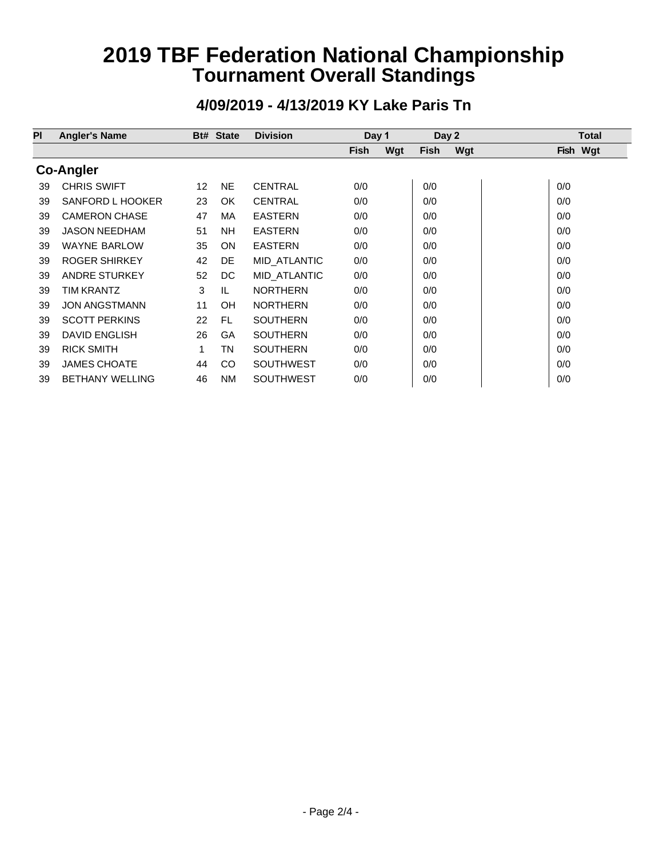#### **Pl Angler's Name Bt# State Division Day 1 Day 2 Total Fish Wgt Fish Wgt Fish Wgt Co-Angler** 39 CHRIS SWIFT 12 NE CENTRAL 0/0 0/0 0/0 39 SANFORD L HOOKER 23 OK CENTRAL 0/0 0/0 0/0 0/0 0/0 39 CAMERON CHASE 47 MA EASTERN 0/0 0/0 0/0 0/0 0/0 39 JASON NEEDHAM 51 NH EASTERN 0/0 0/0 0/0 0/0 0/0 39 WAYNE BARLOW 35 ON EASTERN 0/0 00 00 00 0/0 39 ROGER SHIRKEY 42 DE MID\_ATLANTIC 0/0 | 0/0 | 0/0 | 0/0 39 ANDRE STURKEY 52 DC MID\_ATLANTIC 0/0 0/0 000 0/0 0/0 39 TIM KRANTZ 3 IL NORTHERN 0/0 0/0 0/0 39 JON ANGSTMANN 11 OH NORTHERN 0/0 0/0 0/0 0/0 0/0 39 SCOTT PERKINS 22 FL SOUTHERN 0/0 00 00 00 000 0/0 39 DAVID ENGLISH 26 GA SOUTHERN 0/0 00 00 00 000 0/0 39 RICK SMITH 1 TN SOUTHERN 0/0 00 00 00 000 0/0 39 JAMES CHOATE 44 CO SOUTHWEST 0/0 0/0 0/0 0/0 39 BETHANY WELLING 46 NM SOUTHWEST 0/0 0/0 0/0 0/0 0/0

### **4/09/2019 - 4/13/2019 KY Lake Paris Tn**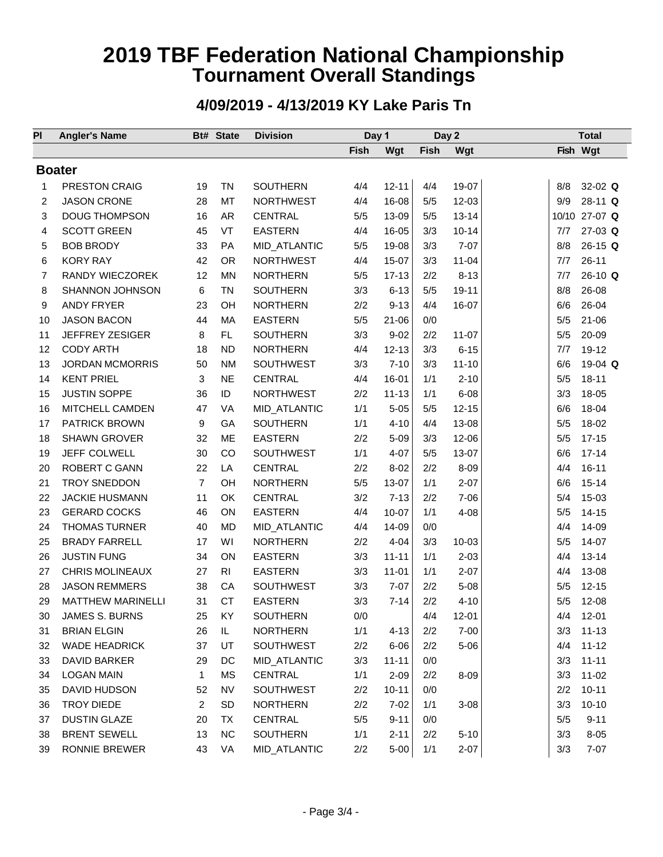### **4/09/2019 - 4/13/2019 KY Lake Paris Tn**

| PI | <b>Angler's Name</b>     |                         | Bt# State      | <b>Division</b>  | Day 1 |           | Day 2 |           | <b>Total</b> |               |
|----|--------------------------|-------------------------|----------------|------------------|-------|-----------|-------|-----------|--------------|---------------|
|    |                          |                         |                |                  | Fish  | Wgt       | Fish  | Wgt       |              | Fish Wgt      |
|    | <b>Boater</b>            |                         |                |                  |       |           |       |           |              |               |
| 1  | <b>PRESTON CRAIG</b>     | 19                      | <b>TN</b>      | <b>SOUTHERN</b>  | 4/4   | $12 - 11$ | 4/4   | 19-07     | 8/8          | 32-02 $Q$     |
| 2  | <b>JASON CRONE</b>       | 28                      | <b>MT</b>      | <b>NORTHWEST</b> | 4/4   | 16-08     | 5/5   | 12-03     | 9/9          | 28-11 Q       |
| 3  | <b>DOUG THOMPSON</b>     | 16                      | AR             | <b>CENTRAL</b>   | 5/5   | 13-09     | 5/5   | $13 - 14$ |              | 10/10 27-07 Q |
| 4  | <b>SCOTT GREEN</b>       | 45                      | VT             | <b>EASTERN</b>   | 4/4   | 16-05     | 3/3   | $10 - 14$ | 7/7          | $27-03$ Q     |
| 5  | <b>BOB BRODY</b>         | 33                      | <b>PA</b>      | MID_ATLANTIC     | 5/5   | 19-08     | 3/3   | $7 - 07$  | 8/8          | $26-15$ Q     |
| 6  | <b>KORY RAY</b>          | 42                      | <b>OR</b>      | <b>NORTHWEST</b> | 4/4   | 15-07     | 3/3   | $11 - 04$ | 7/7          | $26 - 11$     |
| 7  | RANDY WIECZOREK          | 12                      | <b>MN</b>      | <b>NORTHERN</b>  | 5/5   | $17 - 13$ | 2/2   | $8 - 13$  | 7/7          | $26-10$ Q     |
| 8  | <b>SHANNON JOHNSON</b>   | 6                       | <b>TN</b>      | <b>SOUTHERN</b>  | 3/3   | $6 - 13$  | 5/5   | 19-11     | 8/8          | 26-08         |
| 9  | <b>ANDY FRYER</b>        | 23                      | OH             | <b>NORTHERN</b>  | 2/2   | $9 - 13$  | 4/4   | 16-07     | 6/6          | 26-04         |
| 10 | <b>JASON BACON</b>       | 44                      | MA             | <b>EASTERN</b>   | 5/5   | $21 - 06$ | 0/0   |           | 5/5          | $21 - 06$     |
| 11 | JEFFREY ZESIGER          | 8                       | FL             | <b>SOUTHERN</b>  | 3/3   | $9 - 02$  | 2/2   | $11 - 07$ | 5/5          | 20-09         |
| 12 | <b>CODY ARTH</b>         | 18                      | <b>ND</b>      | <b>NORTHERN</b>  | 4/4   | $12 - 13$ | 3/3   | $6 - 15$  | 7/7          | 19-12         |
| 13 | <b>JORDAN MCMORRIS</b>   | 50                      | <b>NM</b>      | SOUTHWEST        | 3/3   | $7 - 10$  | 3/3   | $11 - 10$ | 6/6          | 19-04 Q       |
|    | <b>KENT PRIEL</b>        | 3                       | <b>NE</b>      | <b>CENTRAL</b>   | 4/4   | 16-01     | 1/1   | $2 - 10$  | 5/5          | $18 - 11$     |
| 14 |                          |                         |                |                  |       |           |       |           |              |               |
| 15 | <b>JUSTIN SOPPE</b>      | 36                      | ID             | <b>NORTHWEST</b> | 2/2   | $11 - 13$ | 1/1   | $6 - 08$  | 3/3          | 18-05         |
| 16 | MITCHELL CAMDEN          | 47                      | VA             | MID_ATLANTIC     | 1/1   | $5 - 05$  | 5/5   | $12 - 15$ | 6/6          | 18-04         |
| 17 | <b>PATRICK BROWN</b>     | 9                       | GA             | <b>SOUTHERN</b>  | 1/1   | $4 - 10$  | 4/4   | 13-08     | 5/5          | 18-02         |
| 18 | <b>SHAWN GROVER</b>      | 32                      | <b>ME</b>      | <b>EASTERN</b>   | 2/2   | $5 - 09$  | 3/3   | 12-06     | 5/5          | $17 - 15$     |
| 19 | JEFF COLWELL             | 30                      | CO             | SOUTHWEST        | 1/1   | $4 - 07$  | 5/5   | 13-07     | 6/6          | $17 - 14$     |
| 20 | ROBERT C GANN            | 22                      | LA             | <b>CENTRAL</b>   | 2/2   | $8 - 02$  | 2/2   | $8 - 09$  | 4/4          | $16 - 11$     |
| 21 | <b>TROY SNEDDON</b>      | $\overline{7}$          | OH             | <b>NORTHERN</b>  | 5/5   | 13-07     | 1/1   | $2 - 07$  | 6/6          | $15 - 14$     |
| 22 | <b>JACKIE HUSMANN</b>    | 11                      | OK             | <b>CENTRAL</b>   | 3/2   | $7 - 13$  | 2/2   | $7 - 06$  | 5/4          | 15-03         |
| 23 | <b>GERARD COCKS</b>      | 46                      | ON             | <b>EASTERN</b>   | 4/4   | $10 - 07$ | 1/1   | $4 - 08$  | 5/5          | $14 - 15$     |
| 24 | <b>THOMAS TURNER</b>     | 40                      | <b>MD</b>      | MID_ATLANTIC     | 4/4   | 14-09     | 0/0   |           | 4/4          | 14-09         |
| 25 | <b>BRADY FARRELL</b>     | 17                      | WI             | <b>NORTHERN</b>  | 2/2   | $4 - 04$  | 3/3   | $10 - 03$ | 5/5          | 14-07         |
| 26 | <b>JUSTIN FUNG</b>       | 34                      | ON             | <b>EASTERN</b>   | 3/3   | $11 - 11$ | 1/1   | $2 - 03$  | 4/4          | $13 - 14$     |
| 27 | <b>CHRIS MOLINEAUX</b>   | 27                      | R <sub>l</sub> | <b>EASTERN</b>   | 3/3   | $11 - 01$ | 1/1   | $2 - 07$  | 4/4          | 13-08         |
| 28 | <b>JASON REMMERS</b>     | 38                      | CA             | <b>SOUTHWEST</b> | 3/3   | $7 - 07$  | 2/2   | $5 - 08$  | 5/5          | $12 - 15$     |
| 29 | <b>MATTHEW MARINELLI</b> | 31                      | <b>CT</b>      | <b>EASTERN</b>   | 3/3   | $7 - 14$  | 2/2   | $4 - 10$  | 5/5          | $12 - 08$     |
| 30 | JAMES S. BURNS           | 25                      | KY             | <b>SOUTHERN</b>  | 0/0   |           | 4/4   | $12 - 01$ | 4/4          | $12 - 01$     |
| 31 | <b>BRIAN ELGIN</b>       | 26                      | IL             | <b>NORTHERN</b>  | 1/1   | $4 - 13$  | 2/2   | $7 - 00$  | 3/3          | $11 - 13$     |
| 32 | <b>WADE HEADRICK</b>     | 37                      | UT             | SOUTHWEST        | 2/2   | $6 - 06$  | 2/2   | $5 - 06$  | 4/4          | $11 - 12$     |
| 33 | DAVID BARKER             | 29                      | DC             | MID_ATLANTIC     | 3/3   | $11 - 11$ | 0/0   |           | 3/3          | $11 - 11$     |
| 34 | <b>LOGAN MAIN</b>        | $\mathbf{1}$            | <b>MS</b>      | CENTRAL          | 1/1   | $2 - 09$  | 2/2   | 8-09      | 3/3          | $11 - 02$     |
| 35 | DAVID HUDSON             | 52                      | <b>NV</b>      | SOUTHWEST        | 2/2   | $10 - 11$ | 0/0   |           | 2/2          | $10 - 11$     |
| 36 | <b>TROY DIEDE</b>        | $\overline{\mathbf{c}}$ | <b>SD</b>      | <b>NORTHERN</b>  | 2/2   | $7 - 02$  | 1/1   | $3 - 08$  | 3/3          | $10 - 10$     |
| 37 | <b>DUSTIN GLAZE</b>      | 20                      | TX             | CENTRAL          | 5/5   | $9 - 11$  | 0/0   |           | 5/5          | $9 - 11$      |
| 38 | <b>BRENT SEWELL</b>      | 13                      | <b>NC</b>      | SOUTHERN         | 1/1   | $2 - 11$  | 2/2   | $5 - 10$  | 3/3          | $8 - 05$      |
| 39 | RONNIE BREWER            | 43                      | VA             | MID_ATLANTIC     | 2/2   | $5 - 00$  | 1/1   | $2 - 07$  | 3/3          | $7 - 07$      |